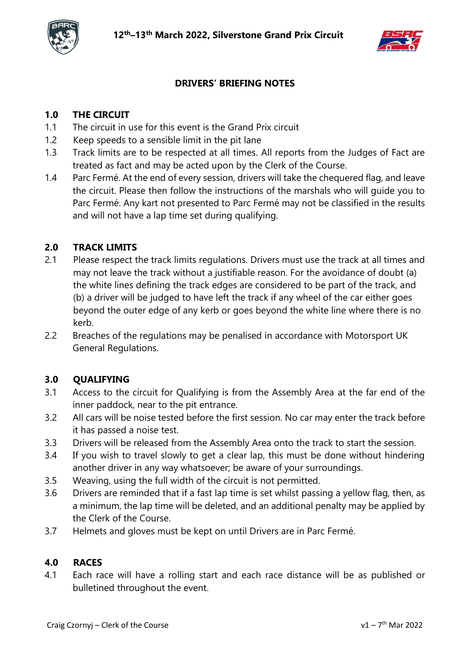



## **DRIVERS' BRIEFING NOTES**

# **1.0 THE CIRCUIT**

- 1.1 The circuit in use for this event is the Grand Prix circuit
- 1.2 Keep speeds to a sensible limit in the pit lane
- 1.3 Track limits are to be respected at all times. All reports from the Judges of Fact are treated as fact and may be acted upon by the Clerk of the Course.
- 1.4 Parc Fermé. At the end of every session, drivers will take the chequered flag, and leave the circuit. Please then follow the instructions of the marshals who will guide you to Parc Fermé. Any kart not presented to Parc Fermé may not be classified in the results and will not have a lap time set during qualifying.

### **2.0 TRACK LIMITS**

- 2.1 Please respect the track limits regulations. Drivers must use the track at all times and may not leave the track without a justifiable reason. For the avoidance of doubt (a) the white lines defining the track edges are considered to be part of the track, and (b) a driver will be judged to have left the track if any wheel of the car either goes beyond the outer edge of any kerb or goes beyond the white line where there is no kerb.
- 2.2 Breaches of the regulations may be penalised in accordance with Motorsport UK General Regulations.

#### **3.0 QUALIFYING**

- 3.1 Access to the circuit for Qualifying is from the Assembly Area at the far end of the inner paddock, near to the pit entrance.
- 3.2 All cars will be noise tested before the first session. No car may enter the track before it has passed a noise test.
- 3.3 Drivers will be released from the Assembly Area onto the track to start the session.
- 3.4 If you wish to travel slowly to get a clear lap, this must be done without hindering another driver in any way whatsoever; be aware of your surroundings.
- 3.5 Weaving, using the full width of the circuit is not permitted.
- 3.6 Drivers are reminded that if a fast lap time is set whilst passing a yellow flag, then, as a minimum, the lap time will be deleted, and an additional penalty may be applied by the Clerk of the Course.
- 3.7 Helmets and gloves must be kept on until Drivers are in Parc Fermé.

#### **4.0 RACES**

4.1 Each race will have a rolling start and each race distance will be as published or bulletined throughout the event.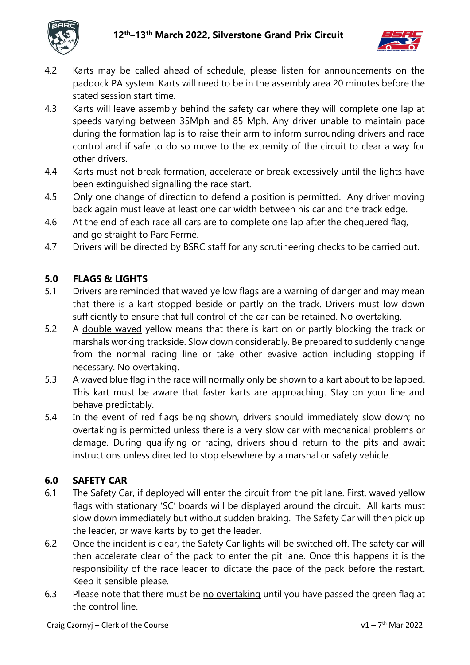



- 4.2 Karts may be called ahead of schedule, please listen for announcements on the paddock PA system. Karts will need to be in the assembly area 20 minutes before the stated session start time.
- 4.3 Karts will leave assembly behind the safety car where they will complete one lap at speeds varying between 35Mph and 85 Mph. Any driver unable to maintain pace during the formation lap is to raise their arm to inform surrounding drivers and race control and if safe to do so move to the extremity of the circuit to clear a way for other drivers.
- 4.4 Karts must not break formation, accelerate or break excessively until the lights have been extinguished signalling the race start.
- 4.5 Only one change of direction to defend a position is permitted. Any driver moving back again must leave at least one car width between his car and the track edge.
- 4.6 At the end of each race all cars are to complete one lap after the chequered flag, and go straight to Parc Fermé.
- 4.7 Drivers will be directed by BSRC staff for any scrutineering checks to be carried out.

## **5.0 FLAGS & LIGHTS**

- 5.1 Drivers are reminded that waved yellow flags are a warning of danger and may mean that there is a kart stopped beside or partly on the track. Drivers must low down sufficiently to ensure that full control of the car can be retained. No overtaking.
- 5.2 A double waved yellow means that there is kart on or partly blocking the track or marshals working trackside. Slow down considerably. Be prepared to suddenly change from the normal racing line or take other evasive action including stopping if necessary. No overtaking.
- 5.3 A waved blue flag in the race will normally only be shown to a kart about to be lapped. This kart must be aware that faster karts are approaching. Stay on your line and behave predictably.
- 5.4 In the event of red flags being shown, drivers should immediately slow down; no overtaking is permitted unless there is a very slow car with mechanical problems or damage. During qualifying or racing, drivers should return to the pits and await instructions unless directed to stop elsewhere by a marshal or safety vehicle.

## **6.0 SAFETY CAR**

- 6.1 The Safety Car, if deployed will enter the circuit from the pit lane. First, waved yellow flags with stationary 'SC' boards will be displayed around the circuit. All karts must slow down immediately but without sudden braking. The Safety Car will then pick up the leader, or wave karts by to get the leader.
- 6.2 Once the incident is clear, the Safety Car lights will be switched off. The safety car will then accelerate clear of the pack to enter the pit lane. Once this happens it is the responsibility of the race leader to dictate the pace of the pack before the restart. Keep it sensible please.
- 6.3 Please note that there must be no overtaking until you have passed the green flag at the control line.